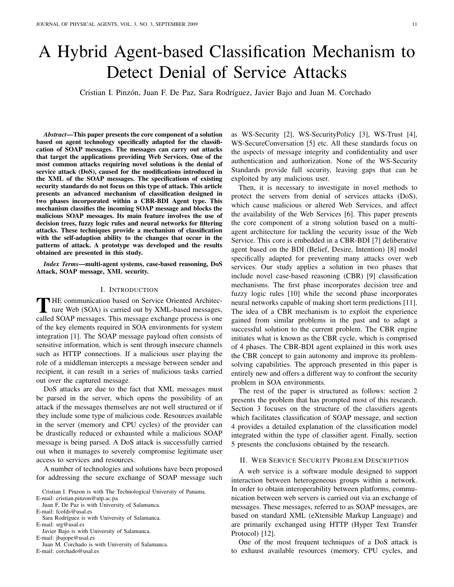# A Hybrid Agent-based Classification Mechanism to Detect Denial of Service Attacks

Cristian I. Pinzón, Juan F. De Paz, Sara Rodríguez, Javier Bajo and Juan M. Corchado

*Abstract*—This paper presents the core component of a solution based on agent technology specifically adapted for the classification of SOAP messages. The messages can carry out attacks that target the applications providing Web Services. One of the most common attacks requiring novel solutions is the denial of service attack (DoS), caused for the modifications introduced in the XML of the SOAP messages. The specifications of existing security standards do not focus on this type of attack. This article presents an advanced mechanism of classification designed in two phases incorporated within a CBR-BDI Agent type. This mechanism classifies the incoming SOAP message and blocks the malicious SOAP messages. Its main feature involves the use of decision trees, fuzzy logic rules and neural networks for filtering attacks. These techniques provide a mechanism of classification with the self-adaption ability to the changes that occur in the patterns of attack. A prototype was developed and the results obtained are presented in this study.

*Index Terms*—multi-agent systems, case-based reasoning, DoS Attack, SOAP message, XML security.

## I. INTRODUCTION

THE communication based on Service Oriented Architec-<br>ture Web (SOA) is carried out by XML-based messages,<br>scalled SOAP messages. This message unknown message is an ture Web (SOA) is carried out by XML-based messages, called SOAP messages. This message exchange process is one of the key elements required in SOA environments for system integration [1]. The SOAP message payload often consists of sensitive information, which is sent through insecure channels such as HTTP connections. If a malicious user playing the role of a middleman intercepts a message between sender and recipient, it can result in a series of malicious tasks carried out over the captured message.

DoS attacks are due to the fact that XML messages must be parsed in the server, which opens the possibility of an attack if the messages themselves are not well structured or if they include some type of malicious code. Resources available in the server (memory and CPU cycles) of the provider can be drastically reduced or exhausted while a malicious SOAP message is being parsed. A DoS attack is successfully carried out when it manages to severely compromise legitimate user access to services and resources.

A number of technologies and solutions have been proposed for addressing the secure exchange of SOAP message such

Cristian I. Pinzon is with The Technological University of Panama.

E-mail: cristian.pinzon@utp.ac.pa Juan F. De Paz is with University of Salamanca.

E-mail: fcofds@usal.es

Sara Rodríguez is with University of Salamanca. E-mail: srg@usal.es

Javier Bajo is with University of Salamanca. E-mail: jbajope@usal.es

Juan M. Corchado is with University of Salamanca.

E-mail: corchado@usal.es

as WS-Security [2], WS-SecurityPolicy [3], WS-Trust [4], WS-SecureConversation [5] etc. All these standards focus on the aspects of message integrity and confidentiality and user authentication and authorization. None of the WS-Security Standards provide full security, leaving gaps that can be exploited by any malicious user.

Then, it is necessary to investigate in novel methods to protect the servers from denial of services attacks (DoS), which cause malicious or altered Web Services, and affect the availability of the Web Services [6]. This paper presents the core component of a strong solution based on a multiagent architecture for tackling the security issue of the Web Service. This core is embedded in a CBR-BDI [7] deliberative agent based on the BDI (Belief, Desire, Intention) [8] model specifically adapted for preventing many attacks over web services. Our study applies a solution in two phases that include novel case-based reasoning (CBR) [9] classification mechanisms. The first phase incorporates decision tree and fuzzy logic rules [10] while the second phase incorporates neural networks capable of making short term predictions [11]. The idea of a CBR mechanism is to exploit the experience gained from similar problems in the past and to adapt a successful solution to the current problem. The CBR engine initiates what is known as the CBR cycle, which is comprised of 4 phases. The CBR-BDI agent explained in this work uses the CBR concept to gain autonomy and improve its problemsolving capabilities. The approach presented in this paper is entirely new and offers a different way to confront the security problem in SOA environments.

The rest of the paper is structured as follows: section 2 presents the problem that has prompted most of this research. Section 3 focuses on the structure of the classifiers agents which facilitates classification of SOAP message, and section 4 provides a detailed explanation of the classification model integrated within the type of classifier agent. Finally, section 5 presents the conclusions obtained by the research.

## II. WEB SERVICE SECURITY PROBLEM DESCRIPTION

A web service is a software module designed to support interaction between heterogeneous groups within a network. In order to obtain interoperability between platforms, communication between web servers is carried out via an exchange of messages. These messages, referred to as SOAP messages, are based on standard XML (eXtensible Markup Language) and are primarily exchanged using HTTP (Hyper Text Transfer Protocol) [12].

One of the most frequent techniques of a DoS attack is to exhaust available resources (memory, CPU cycles, and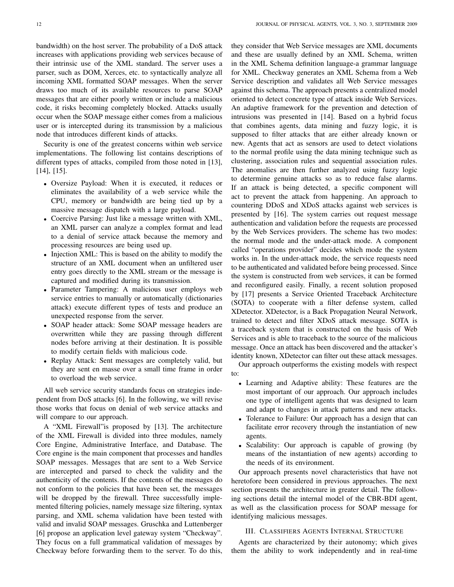bandwidth) on the host server. The probability of a DoS attack increases with applications providing web services because of their intrinsic use of the XML standard. The server uses a parser, such as DOM, Xerces, etc. to syntactically analyze all incoming XML formatted SOAP messages. When the server draws too much of its available resources to parse SOAP messages that are either poorly written or include a malicious code, it risks becoming completely blocked. Attacks usually occur when the SOAP message either comes from a malicious user or is intercepted during its transmission by a malicious node that introduces different kinds of attacks.

Security is one of the greatest concerns within web service implementations. The following list contains descriptions of different types of attacks, compiled from those noted in [13], [14], [15].

- Oversize Payload: When it is executed, it reduces or eliminates the availability of a web service while the CPU, memory or bandwidth are being tied up by a massive message dispatch with a large payload.
- Coercive Parsing: Just like a message written with XML, an XML parser can analyze a complex format and lead to a denial of service attack because the memory and processing resources are being used up.
- Injection XML: This is based on the ability to modify the structure of an XML document when an unfiltered user entry goes directly to the XML stream or the message is captured and modified during its transmission.
- Parameter Tampering: A malicious user employs web service entries to manually or automatically (dictionaries attack) execute different types of tests and produce an unexpected response from the server.
- SOAP header attack: Some SOAP message headers are overwritten while they are passing through different nodes before arriving at their destination. It is possible to modify certain fields with malicious code.
- Replay Attack: Sent messages are completely valid, but they are sent en masse over a small time frame in order to overload the web service.

All web service security standards focus on strategies independent from DoS attacks [6]. In the following, we will revise those works that focus on denial of web service attacks and will compare to our approach.

A "XML Firewall"is proposed by [13]. The architecture of the XML Firewall is divided into three modules, namely Core Engine, Administrative Interface, and Database. The Core engine is the main component that processes and handles SOAP messages. Messages that are sent to a Web Service are intercepted and parsed to check the validity and the authenticity of the contents. If the contents of the messages do not conform to the policies that have been set, the messages will be dropped by the firewall. Three successfully implemented filtering policies, namely message size filtering, syntax parsing, and XML schema validation have been tested with valid and invalid SOAP messages. Gruschka and Luttenberger [6] propose an application level gateway system "Checkway". They focus on a full grammatical validation of messages by Checkway before forwarding them to the server. To do this,

they consider that Web Service messages are XML documents and these are usually defined by an XML Schema, written in the XML Schema definition language-a grammar language for XML. Checkway generates an XML Schema from a Web Service description and validates all Web Service messages against this schema. The approach presents a centralized model oriented to detect concrete type of attack inside Web Services. An adaptive framework for the prevention and detection of intrusions was presented in [14]. Based on a hybrid focus that combines agents, data mining and fuzzy logic, it is supposed to filter attacks that are either already known or new. Agents that act as sensors are used to detect violations to the normal profile using the data mining technique such as clustering, association rules and sequential association rules. The anomalies are then further analyzed using fuzzy logic to determine genuine attacks so as to reduce false alarms. If an attack is being detected, a specific component will act to prevent the attack from happening. An approach to countering DDoS and XDoS attacks against web services is presented by [16]. The system carries out request message authentication and validation before the requests are processed by the Web Services providers. The scheme has two modes: the normal mode and the under-attack mode. A component called "operations provider" decides which mode the system works in. In the under-attack mode, the service requests need to be authenticated and validated before being processed. Since the system is constructed from web services, it can be formed and reconfigured easily. Finally, a recent solution proposed by [17] presents a Service Oriented Traceback Architecture (SOTA) to cooperate with a filter defense system, called XDetector. XDetector, is a Back Propagation Neural Network, trained to detect and filter XDoS attack message. SOTA is a traceback system that is constructed on the basis of Web Services and is able to traceback to the source of the malicious message. Once an attack has been discovered and the attacker's identity known, XDetector can filter out these attack messages.

Our approach outperforms the existing models with respect to:

- Learning and Adaptive ability: These features are the most important of our approach. Our approach includes one type of intelligent agents that was designed to learn and adapt to changes in attack patterns and new attacks.
- Tolerance to Failure: Our approach has a design that can facilitate error recovery through the instantiation of new agents.
- Scalability: Our approach is capable of growing (by means of the instantiation of new agents) according to the needs of its environment.

Our approach presents novel characteristics that have not heretofore been considered in previous approaches. The next section presents the architecture in greater detail. The following sections detail the internal model of the CBR-BDI agent, as well as the classification process for SOAP message for identifying malicious messages.

# III. CLASSIFIERS AGENTS INTERNAL STRUCTURE

Agents are characterized by their autonomy; which gives them the ability to work independently and in real-time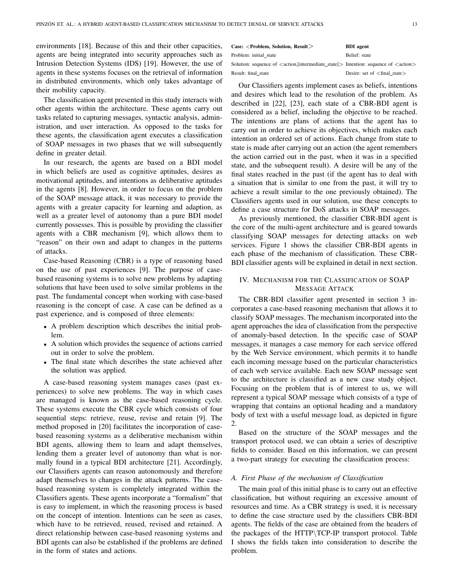environments [18]. Because of this and their other capacities, agents are being integrated into security approaches such as Intrusion Detection Systems (IDS) [19]. However, the use of agents in these systems focuses on the retrieval of information in distributed environments, which only takes advantage of their mobility capacity.

The classification agent presented in this study interacts with other agents within the architecture. These agents carry out tasks related to capturing messages, syntactic analysis, administration, and user interaction. As opposed to the tasks for these agents, the classification agent executes a classification of SOAP messages in two phases that we will subsequently define in greater detail.

In our research, the agents are based on a BDI model in which beliefs are used as cognitive aptitudes, desires as motivational aptitudes, and intentions as deliberative aptitudes in the agents [8]. However, in order to focus on the problem of the SOAP message attack, it was necessary to provide the agents with a greater capacity for learning and adaption, as well as a greater level of autonomy than a pure BDI model currently possesses. This is possible by providing the classifier agents with a CBR mechanism [9], which allows them to "reason" on their own and adapt to changes in the patterns of attacks.

Case-based Reasoning (CBR) is a type of reasoning based on the use of past experiences [9]. The purpose of casebased reasoning systems is to solve new problems by adapting solutions that have been used to solve similar problems in the past. The fundamental concept when working with case-based reasoning is the concept of case. A case can be defined as a past experience, and is composed of three elements:

- A problem description which describes the initial problem.
- A solution which provides the sequence of actions carried out in order to solve the problem.
- The final state which describes the state achieved after the solution was applied.

A case-based reasoning system manages cases (past experiences) to solve new problems. The way in which cases are managed is known as the case-based reasoning cycle. These systems execute the CBR cycle which consists of four sequential steps: retrieve, reuse, revise and retain [9]. The method proposed in [20] facilitates the incorporation of casebased reasoning systems as a deliberative mechanism within BDI agents, allowing them to learn and adapt themselves, lending them a greater level of autonomy than what is normally found in a typical BDI architecture [21]. Accordingly, our Classifiers agents can reason autonomously and therefore adapt themselves to changes in the attack patterns. The casebased reasoning system is completely integrated within the Classifiers agents. These agents incorporate a "formalism" that is easy to implement, in which the reasoning process is based on the concept of intention. Intentions can be seen as cases, which have to be retrieved, reused, revised and retained. A direct relationship between case-based reasoning systems and BDI agents can also be established if the problems are defined in the form of states and actions.

| Case: $\langle$ Problem, Solution, Result $\rangle$                                                                                        | <b>BDI</b> agent                   |
|--------------------------------------------------------------------------------------------------------------------------------------------|------------------------------------|
| Problem: initial state                                                                                                                     | Belief: state                      |
| Solution: sequence of $\langle \text{action}, \text{[intermediate\_state]} \rangle$ Intention: sequence of $\langle \text{action} \rangle$ |                                    |
| Result: final state                                                                                                                        | Desire: set of $<$ final state $>$ |

Our Classifiers agents implement cases as beliefs, intentions and desires which lead to the resolution of the problem. As described in [22], [23], each state of a CBR-BDI agent is considered as a belief, including the objective to be reached. The intentions are plans of actions that the agent has to carry out in order to achieve its objectives, which makes each intention an ordered set of actions. Each change from state to state is made after carrying out an action (the agent remembers the action carried out in the past, when it was in a specified state, and the subsequent result). A desire will be any of the final states reached in the past (if the agent has to deal with a situation that is similar to one from the past, it will try to achieve a result similar to the one previously obtained). The Classifiers agents used in our solution, use these concepts to define a case structure for DoS attacks in SOAP messages.

As previously mentioned, the classifier CBR-BDI agent is the core of the multi-agent architecture and is geared towards classifying SOAP messages for detecting attacks on web services. Figure 1 shows the classifier CBR-BDI agents in each phase of the mechanism of classification. These CBR-BDI classifier agents will be explained in detail in next section.

# IV. MECHANISM FOR THE CLASSIFICATION OF SOAP MESSAGE ATTACK

The CBR-BDI classifier agent presented in section 3 incorporates a case-based reasoning mechanism that allows it to classify SOAP messages. The mechanism incorporated into the agent approaches the idea of classification from the perspective of anomaly-based detection. In the specific case of SOAP messages, it manages a case memory for each service offered by the Web Service environment, which permits it to handle each incoming message based on the particular characteristics of each web service available. Each new SOAP message sent to the architecture is classified as a new case study object. Focusing on the problem that is of interest to us, we will represent a typical SOAP message which consists of a type of wrapping that contains an optional heading and a mandatory body of text with a useful message load, as depicted in figure 2.

Based on the structure of the SOAP messages and the transport protocol used, we can obtain a series of descriptive fields to consider. Based on this information, we can present a two-part strategy for executing the classification process:

## *A. First Phase of the mechanism of Classification*

The main goal of this initial phase is to carry out an effective classification, but without requiring an excessive amount of resources and time. As a CBR strategy is used, it is necessary to define the case structure used by the classifiers CBR-BDI agents. The fields of the case are obtained from the headers of the packages of the HTTP\TCP-IP transport protocol. Table I shows the fields taken into consideration to describe the problem.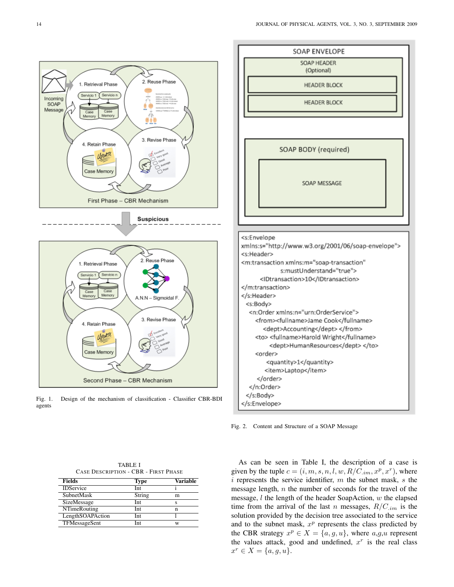

Fig. 1. Design of the mechanism of classification - Classifier CBR-BDI agents

Fig. 2. Content and Structure of a SOAP Message

</s:Envelope>

| TABLE I                              |  |  |
|--------------------------------------|--|--|
| CASE DESCRIPTION - CBR - FIRST PHASE |  |  |

| <b>Fields</b>    | Type   | Variable |
|------------------|--------|----------|
| <b>IDService</b> | Int    |          |
| SubnetMask       | String | m        |
| SizeMessage      | Int    | S        |
| NTimeRouting     | Int    | n        |
| LengthSOAPAction | Int    |          |
| TFMessageSent    | Int    | w        |

As can be seen in Table I, the description of a case is given by the tuple  $c = (i, m, s, n, l, w, R/C_{im}, x^p, x^r)$ , where  $i$  represents the service identifier,  $m$  the subnet mask,  $s$  the message length, n the number of seconds for the travel of the message, l the length of the header SoapAction, w the elapsed time from the arrival of the last n messages,  $R/C_{.im}$  is the solution provided by the decision tree associated to the service and to the subnet mask,  $x^p$  represents the class predicted by the CBR strategy  $x^p \in X = \{a, g, u\}$ , where  $a, g, u$  represent the values attack, good and undefined,  $x<sup>r</sup>$  is the real class  $x^r \in X = \{a, g, u\}.$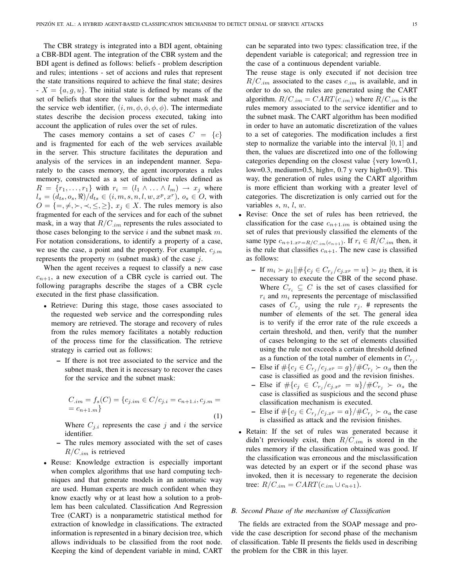The CBR strategy is integrated into a BDI agent, obtaining a CBR-BDI agent. The integration of the CBR system and the BDI agent is defined as follows: beliefs - problem description and rules; intentions - set of accions and rules that represent the state transitions required to achieve the final state; desires  $X = \{a, g, u\}$ . The initial state is defined by means of the set of beliefs that store the values for the subnet mask and the service web identifier,  $(i, m, \phi, \phi, \phi, \phi)$ . The intermediate states describe the decision process executed, taking into account the application of rules over the set of rules.

The cases memory contains a set of cases  $C = \{c\}$ and is fragmented for each of the web services available in the server. This structure facilitates the depuration and analysis of the services in an independent manner. Separately to the cases memory, the agent incorporates a rules memory, constructed as a set of inductive rules defined as  $R = \{r_1, \ldots, r_1\}$  with  $r_i = (l_1 \wedge \ldots \wedge l_m) \rightarrow x_i$  where  $l_s = (d_{ts}, o_s, \Re)/d_{ts} \in (i, m, s, n, l, w, x^p, x^r), o_s \in O$ , with  $O = \{ =, \neq, \succ, \prec, \leq, \geq \}, x_i \in X$ . The rules memory is also fragmented for each of the services and for each of the subnet mask, in a way that  $R/C_{.im}$  represents the rules associated to those cases belonging to the service  $i$  and the subnet mask  $m$ . For notation considerations, to identify a property of a case, we use the case, a point and the property. For example,  $c_{i,m}$ represents the property  $m$  (subnet mask) of the case  $j$ .

When the agent receives a request to classify a new case  $c_{n+1}$ , a new execution of a CBR cycle is carried out. The following paragraphs describe the stages of a CBR cycle executed in the first phase classification.

- Retrieve: During this stage, those cases associated to the requested web service and the corresponding rules memory are retrieved. The storage and recovery of rules from the rules memory facilitates a notably reduction of the process time for the classification. The retrieve strategy is carried out as follows:
	- If there is not tree associated to the service and the subnet mask, then it is necessary to recover the cases for the service and the subnet mask:

$$
C_{.im} = f_s(C) = \{c_{j,im} \in C/c_{j,i} = c_{n+1,i}, c_{j,m} =
$$
  
=  $c_{n+1,m}$  (1)

Where  $C_{j,i}$  represents the case j and i the service identifier.

- The rules memory associated with the set of cases  $R/C_{im}$  is retrieved
- Reuse: Knowledge extraction is especially important when complex algorithms that use hard computing techniques and that generate models in an automatic way are used. Human experts are much confident when they know exactly why or at least how a solution to a problem has been calculated. Classification And Regression Tree (CART) is a nonparametric statistical method for extraction of knowledge in classifications. The extracted information is represented in a binary decision tree, which allows individuals to be classified from the root node. Keeping the kind of dependent variable in mind, CART

can be separated into two types: classification tree, if the dependent variable is categorical; and regression tree in the case of a continuous dependent variable.

The reuse stage is only executed if not decision tree  $R/C_{im}$  associated to the cases  $c_{im}$  is available, and in order to do so, the rules are generated using the CART algorithm.  $R/C_{im} = CART(c_{im})$  where  $R/C_{im}$  is the rules memory associated to the service identifier and to the subnet mask. The CART algorithm has been modified in order to have an automatic discretization of the values to a set of categories. The modification includes a first step to normalize the variable into the interval  $[0, 1]$  and then, the values are discretized into one of the following categories depending on the closest value {very low=0.1, low=0.3, medium=0.5, high=, 0.7 y very high=0.9}. This way, the generation of rules using the CART algorithm is more efficient than working with a greater level of categories. The discretization is only carried out for the variables  $s, n, l, w$ .

- Revise: Once the set of rules has been retrieved, the classification for the case  $c_{n+1,im}$  is obtained using the set of rules that previously classified the elements of the same type  $c_{n+1,x^p=R/C_{\cdot im}(c_{n+1})}$ . If  $r_i \in R/C_{\cdot im}$  then, it is the rule that classifies  $c_{n+1}$ . The new case is classified as follows:
	- If  $m_i > \mu_1 ||# \{c_j \in C_{r_j}/c_{j,x^p} = u\} > \mu_2$  then, it is necessary to execute the CBR of the second phase. Where  $C_{r_i} \subseteq C$  is the set of cases classified for  $r_i$  and  $m_i$  represents the percentage of misclassified cases of  $C_{r_i}$  using the rule  $r_j$ . # represents the number of elements of the set. The general idea is to verify if the error rate of the rule exceeds a certain threshold, and then, verify that the number of cases belonging to the set of elements classified using the rule not exceeds a certain threshold defined as a function of the total number of elements in  $C_{r_j}$ .
	- Else if  $\#\{c_j \in C_{r_j}/c_{j,x^p} = g\}/\#C_{r_j} \succ \alpha_g$  then the case is classified as good and the revision finishes.
	- Else if  $\#\{c_j \in C_{r_j}/c_{j.x^p} = u\}/\#C_{r_j} > \alpha_s$  the case is classified as suspicious and the second phase classification mechanism is executed.
	- Else if  $\#\{c_j \in C_{r_j}/c_{j,x^p} = a\}/\#C_{r_j} \succ \alpha_a$  the case is classified as attack and the revision finishes.
- Retain: If the set of rules was generated because it didn't previously exist, then  $R/C_{im}$  is stored in the rules memory if the classification obtained was good. If the classification was erroneous and the misclassification was detected by an expert or if the second phase was invoked, then it is necessary to regenerate the decision tree:  $R/C_{.im} = CART(c_{.im} \cup c_{n+1}).$

## *B. Second Phase of the mechanism of Classification*

The fields are extracted from the SOAP message and provide the case description for second phase of the mechanism of classification. Table II presents the fields used in describing the problem for the CBR in this layer.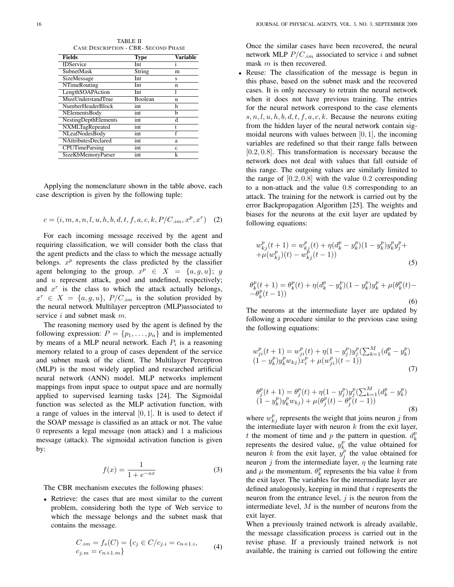TABLE II CASE DESCRIPTION - CBR- SECOND PHASE

| <b>Fields</b>              | <b>Type</b> | <b>Variable</b> |
|----------------------------|-------------|-----------------|
| <b>IDService</b>           | Int         |                 |
| <b>SubnetMask</b>          | String      | m               |
| SizeMessage                | Int         | S               |
| NTimeRouting               | Int         | n               |
| LengthSOAPAction           | Int         |                 |
| <b>MustUnderstandTrue</b>  | Boolean     | u               |
| <b>NumberHeaderBlock</b>   | int         | h               |
| <b>NElementsBody</b>       | int         | h               |
| NestingDepthElements       | int         | d               |
| <b>NXMLTagRepeated</b>     | int         | t               |
| NLeafNodesBody             | int         | f               |
| <b>NAttributesDeclared</b> | int         | a               |
| <b>CPUTimeParsing</b>      | int         | Ċ               |
| <b>SizeKbMemoryParser</b>  | int         | k               |

Applying the nomenclature shown in the table above, each case description is given by the following tuple:

$$
c = (i, m, s, n, l, u, h, b, d, t, f, a, c, k, P/C_{.im}, x^p, x^r) \quad (2)
$$

For each incoming message received by the agent and requiring classification, we will consider both the class that the agent predicts and the class to which the message actually belongs.  $x^p$  represents the class predicted by the classifier agent belonging to the group.  $x^p \in X = \{a, g, u\}$ ; g and  $u$  represent attack, good and undefined, respectively; and  $x^r$  is the class to which the attack actually belongs,  $x^r \in X = \{a, g, u\}, P/C_{im}$  is the solution provided by the neural network Multilayer perceptron (MLP)associated to service i and subnet mask  $m$ .

The reasoning memory used by the agent is defined by the following expression:  $P = \{p_1, \ldots, p_n\}$  and is implemented by means of a MLP neural network. Each  $P_i$  is a reasoning memory related to a group of cases dependent of the service and subnet mask of the client. The Multilayer Perceptron (MLP) is the most widely applied and researched artificial neural network (ANN) model. MLP networks implement mappings from input space to output space and are normally applied to supervised learning tasks [24]. The Sigmoidal function was selected as the MLP activation function, with a range of values in the interval  $[0, 1]$ . It is used to detect if the SOAP message is classified as an attack or not. The value 0 represents a legal message (non attack) and 1 a malicious message (attack). The sigmoidal activation function is given by:

$$
f(x) = \frac{1}{1 + e^{-ax}}\tag{3}
$$

The CBR mechanism executes the following phases:

• Retrieve: the cases that are most similar to the current problem, considering both the type of Web service to which the message belongs and the subnet mask that contains the message.

$$
C_{.im} = f_s(C) = \{c_j \in C/c_{j.i} = c_{n+1.i},
$$
  

$$
c_{j.m} = c_{n+1.m}\}
$$
 (4)

Once the similar cases have been recovered, the neural network MLP  $P/C_{.im}$  associated to service i and subnet mask  $m$  is then recovered.

• Reuse: The classification of the message is begun in this phase, based on the subnet mask and the recovered cases. It is only necessary to retrain the neural network when it does not have previous training. The entries for the neural network correspond to the case elements  $s, n, l, u, h, b, d, t, f, a, c, k$ . Because the neurons exiting from the hidden layer of the neural network contain sigmoidal neurons with values between  $[0, 1]$ , the incoming variables are redefined so that their range falls between [0.2, 0.8]. This transformation is necessary because the network does not deal with values that fall outside of this range. The outgoing values are similarly limited to the range of  $[0.2, 0.8]$  with the value 0.2 corresponding to a non-attack and the value 0.8 corresponding to an attack. The training for the network is carried out by the error Backpropagation Algorithm [25]. The weights and biases for the neurons at the exit layer are updated by following equations:

$$
w_{kj}^p(t+1) = w_{kj}^p(t) + \eta (d_k^p - y_k^p)(1 - y_k^p) y_k^p y_j^p + + \mu (w_{kj}^p)(t) - w_{kj}^p(t-1))
$$
\n(5)

$$
\theta_k^p(t+1) = \theta_k^p(t) + \eta (d_k^p - y_k^p)(1 - y_k^p) y_k^p + \mu (\theta_k^p(t) - \theta_k^p(t-1))
$$
\n(6)

The neurons at the intermediate layer are updated by following a procedure similar to the previous case using the following equations:

$$
w_{ji}^p(t+1) = w_{ji}^p(t) + \eta(1 - y_j^p) y_j^p(\sum_{k=1}^M (d_k^p - y_k^p))
$$
  

$$
(1 - y_k^p) y_k^p w_{kj}) x_i^p + \mu(w_{ji}^p)(t-1))
$$
 (7)

$$
\theta_j^p(t+1) = \theta_j^p(t) + \eta(1 - y_j^p)y_j^p(\sum_{k=1}^M (d_k^p - y_k^p))
$$
  
(1 - y\_k^p)y\_k^p w\_{kj}) + \mu(\theta\_j^p(t) - \theta\_j^p(t-1)) (8)

where  $w_{kj}^p$  represents the weight that joins neuron j from the intermediate layer with neuron  $k$  from the exit layer, t the moment of time and p the pattern in question.  $d_k^p$ represents the desired value,  $y_{k_i}^p$  the value obtained for neuron k from the exit layer,  $y_j^p$  the value obtained for neuron j from the intermediate layer,  $\eta$  the learning rate and  $\mu$  the momentum.  $\theta_k^p$  represents the bia value k from the exit layer. The variables for the intermediate layer are defined analogously, keeping in mind that  $i$  represents the neuron from the entrance level,  $j$  is the neuron from the intermediate level,  $M$  is the number of neurons from the exit layer.

When a previously trained network is already available, the message classification process is carried out in the revise phase. If a previously trained network is not available, the training is carried out following the entire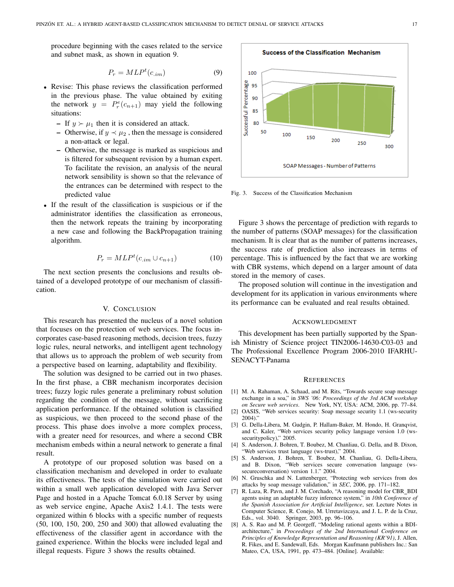procedure beginning with the cases related to the service and subnet mask, as shown in equation 9.

$$
P_r = MLP^t(c_{.im})
$$
\n(9)

- Revise: This phase reviews the classification performed in the previous phase. The value obtained by exiting the network  $y = P_r^e(c_{n+1})$  may yield the following situations:
	- If  $y \succ \mu_1$  then it is considered an attack.
	- Otherwise, if  $y \prec \mu_2$ , then the message is considered a non-attack or legal.
	- Otherwise, the message is marked as suspicious and is filtered for subsequent revision by a human expert. To facilitate the revision, an analysis of the neural network sensibility is shown so that the relevance of the entrances can be determined with respect to the predicted value
- If the result of the classification is suspicious or if the administrator identifies the classification as erroneous, then the network repeats the training by incorporating a new case and following the BackPropagation training algorithm.

$$
P_r = MLP^t(c_{.im} \cup c_{n+1}) \tag{10}
$$

The next section presents the conclusions and results obtained of a developed prototype of our mechanism of classification.

## V. CONCLUSION

This research has presented the nucleus of a novel solution that focuses on the protection of web services. The focus incorporates case-based reasoning methods, decision trees, fuzzy logic rules, neural networks, and intelligent agent technology that allows us to approach the problem of web security from a perspective based on learning, adaptability and flexibility.

The solution was designed to be carried out in two phases. In the first phase, a CBR mechanism incorporates decision trees; fuzzy logic rules generate a preliminary robust solution regarding the condition of the message, without sacrificing application performance. If the obtained solution is classified as suspicious, we then proceed to the second phase of the process. This phase does involve a more complex process, with a greater need for resources, and where a second CBR mechanism embeds within a neural network to generate a final result.

A prototype of our proposed solution was based on a classification mechanism and developed in order to evaluate its effectiveness. The tests of the simulation were carried out within a small web application developed with Java Server Page and hosted in a Apache Tomcat 6.0.18 Server by using as web service engine, Apache Axis2 1.4.1. The tests were organized within 6 blocks with a specific number of requests (50, 100, 150, 200, 250 and 300) that allowed evaluating the effectiveness of the classifier agent in accordance with the gained experience. Within the blocks were included legal and illegal requests. Figure 3 shows the results obtained.

Fig. 3. Success of the Classification Mechanism

Figure 3 shows the percentage of prediction with regards to the number of patterns (SOAP messages) for the classification mechanism. It is clear that as the number of patterns increases, the success rate of prediction also increases in terms of percentage. This is influenced by the fact that we are working with CBR systems, which depend on a larger amount of data stored in the memory of cases.

The proposed solution will continue in the investigation and development for its application in various environments where its performance can be evaluated and real results obtained.

#### ACKNOWLEDGMENT

This development has been partially supported by the Spanish Ministry of Science project TIN2006-14630-C03-03 and The Professional Excellence Program 2006-2010 IFARHU-SENACYT-Panama

## **REFERENCES**

- [1] M. A. Rahaman, A. Schaad, and M. Rits, "Towards secure soap message exchange in a soa," in *SWS '06: Proceedings of the 3rd ACM workshop on Secure web services*. New York, NY, USA: ACM, 2006, pp. 77–84.
- [2] OASIS, "Web services security: Soap message security 1.1 (ws-security 2004)."
- [3] G. Della-Libera, M. Gudgin, P. Hallam-Baker, M. Hondo, H. Granqvist, and C. Kaler, "Web services security policy language version 1.0 (wssecuritypolicy)," 2005.
- [4] S. Anderson, J. Bohren, T. Boubez, M. Chanliau, G. Della, and B. Dixon, "Web services trust language (ws-trust)," 2004.
- [5] S. Anderson, J. Bohren, T. Boubez, M. Chanliau, G. Della-Libera, and B. Dixon, "Web services secure conversation language (wssecureconversation) version 1.1." 2004.
- [6] N. Gruschka and N. Luttenberger, "Protecting web services from dos attacks by soap message validation," in *SEC*, 2006, pp. 171–182.
- [7] R. Laza, R. Pavn, and J. M. Corchado, "A reasoning model for CBR\_BDI agents using an adaptable fuzzy inference system," in *10th Conference of the Spanish Association for Artificial Intelligence*, ser. Lecture Notes in Computer Science, R. Conejo, M. Urretavizcaya, and J. L. P. de la Cruz, Eds., vol. 3040. Springer, 2003, pp. 96–106.
- [8] A. S. Rao and M. P. Georgeff, "Modeling rational agents within a BDIarchitecture," in *Proceedings of the 2nd International Conference on Principles of Knowledge Representation and Reasoning (KR'91)*, J. Allen, R. Fikes, and E. Sandewall, Eds. Morgan Kaufmann publishers Inc.: San Mateo, CA, USA, 1991, pp. 473–484. [Online]. Available: